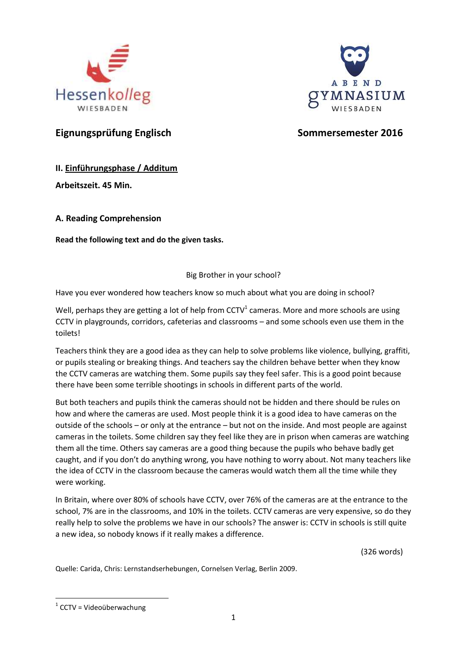



# **Eignungsprüfung Englisch Sommersemester 2016**

# **II. Einführungsphase / Additum**

**Arbeitszeit. 45 Min.**

**A. Reading Comprehension**

**Read the following text and do the given tasks.**

## Big Brother in your school?

Have you ever wondered how teachers know so much about what you are doing in school?

Well, perhaps they are getting a lot of help from CCTV<sup>1</sup> cameras. More and more schools are using CCTV in playgrounds, corridors, cafeterias and classrooms – and some schools even use them in the toilets!

Teachers think they are a good idea as they can help to solve problems like violence, bullying, graffiti, or pupils stealing or breaking things. And teachers say the children behave better when they know the CCTV cameras are watching them. Some pupils say they feel safer. This is a good point because there have been some terrible shootings in schools in different parts of the world.

But both teachers and pupils think the cameras should not be hidden and there should be rules on how and where the cameras are used. Most people think it is a good idea to have cameras on the outside of the schools – or only at the entrance – but not on the inside. And most people are against cameras in the toilets. Some children say they feel like they are in prison when cameras are watching them all the time. Others say cameras are a good thing because the pupils who behave badly get caught, and if you don't do anything wrong, you have nothing to worry about. Not many teachers like the idea of CCTV in the classroom because the cameras would watch them all the time while they were working.

In Britain, where over 80% of schools have CCTV, over 76% of the cameras are at the entrance to the school, 7% are in the classrooms, and 10% in the toilets. CCTV cameras are very expensive, so do they really help to solve the problems we have in our schools? The answer is: CCTV in schools is still quite a new idea, so nobody knows if it really makes a difference.

(326 words)

Quelle: Carida, Chris: Lernstandserhebungen, Cornelsen Verlag, Berlin 2009.

**<sup>.</sup>**  $1$  CCTV = Videoüberwachung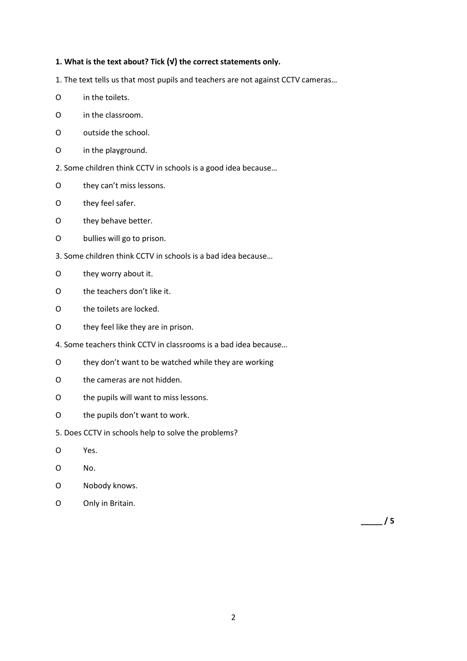#### **1. What is the text about? Tick (√) the correct statements only.**

1. The text tells us that most pupils and teachers are not against CCTV cameras…

- O in the toilets.
- O in the classroom.
- O outside the school.
- O in the playground.
- 2. Some children think CCTV in schools is a good idea because…
- O they can't miss lessons.
- O they feel safer.
- O they behave better.
- O bullies will go to prison.
- 3. Some children think CCTV in schools is a bad idea because…
- O they worry about it.
- O the teachers don't like it.
- O the toilets are locked.
- O they feel like they are in prison.
- 4. Some teachers think CCTV in classrooms is a bad idea because…
- O they don't want to be watched while they are working
- O the cameras are not hidden.
- O the pupils will want to miss lessons.
- O the pupils don't want to work.
- 5. Does CCTV in schools help to solve the problems?
- O Yes.
- O No.
- O Nobody knows.
- O Only in Britain.

**\_\_\_\_\_ / 5**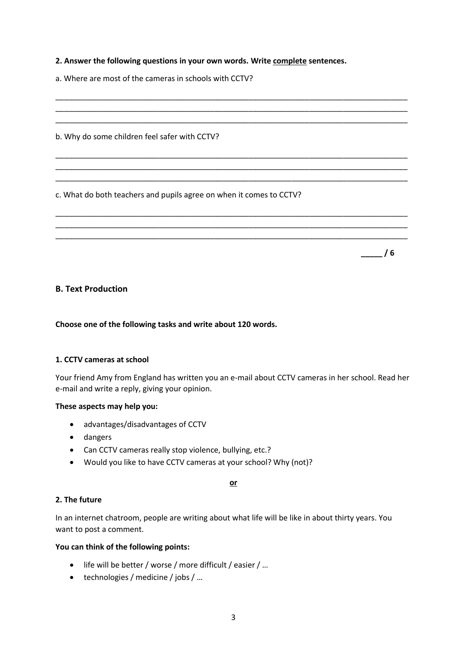#### **2. Answer the following questions in your own words. Write complete sentences.**

\_\_\_\_\_\_\_\_\_\_\_\_\_\_\_\_\_\_\_\_\_\_\_\_\_\_\_\_\_\_\_\_\_\_\_\_\_\_\_\_\_\_\_\_\_\_\_\_\_\_\_\_\_\_\_\_\_\_\_\_\_\_\_\_\_\_\_\_\_\_\_\_\_\_\_\_\_\_\_\_\_\_ \_\_\_\_\_\_\_\_\_\_\_\_\_\_\_\_\_\_\_\_\_\_\_\_\_\_\_\_\_\_\_\_\_\_\_\_\_\_\_\_\_\_\_\_\_\_\_\_\_\_\_\_\_\_\_\_\_\_\_\_\_\_\_\_\_\_\_\_\_\_\_\_\_\_\_\_\_\_\_\_\_\_ \_\_\_\_\_\_\_\_\_\_\_\_\_\_\_\_\_\_\_\_\_\_\_\_\_\_\_\_\_\_\_\_\_\_\_\_\_\_\_\_\_\_\_\_\_\_\_\_\_\_\_\_\_\_\_\_\_\_\_\_\_\_\_\_\_\_\_\_\_\_\_\_\_\_\_\_\_\_\_\_\_\_

\_\_\_\_\_\_\_\_\_\_\_\_\_\_\_\_\_\_\_\_\_\_\_\_\_\_\_\_\_\_\_\_\_\_\_\_\_\_\_\_\_\_\_\_\_\_\_\_\_\_\_\_\_\_\_\_\_\_\_\_\_\_\_\_\_\_\_\_\_\_\_\_\_\_\_\_\_\_\_\_\_\_ \_\_\_\_\_\_\_\_\_\_\_\_\_\_\_\_\_\_\_\_\_\_\_\_\_\_\_\_\_\_\_\_\_\_\_\_\_\_\_\_\_\_\_\_\_\_\_\_\_\_\_\_\_\_\_\_\_\_\_\_\_\_\_\_\_\_\_\_\_\_\_\_\_\_\_\_\_\_\_\_\_\_ \_\_\_\_\_\_\_\_\_\_\_\_\_\_\_\_\_\_\_\_\_\_\_\_\_\_\_\_\_\_\_\_\_\_\_\_\_\_\_\_\_\_\_\_\_\_\_\_\_\_\_\_\_\_\_\_\_\_\_\_\_\_\_\_\_\_\_\_\_\_\_\_\_\_\_\_\_\_\_\_\_\_

\_\_\_\_\_\_\_\_\_\_\_\_\_\_\_\_\_\_\_\_\_\_\_\_\_\_\_\_\_\_\_\_\_\_\_\_\_\_\_\_\_\_\_\_\_\_\_\_\_\_\_\_\_\_\_\_\_\_\_\_\_\_\_\_\_\_\_\_\_\_\_\_\_\_\_\_\_\_\_\_\_\_ \_\_\_\_\_\_\_\_\_\_\_\_\_\_\_\_\_\_\_\_\_\_\_\_\_\_\_\_\_\_\_\_\_\_\_\_\_\_\_\_\_\_\_\_\_\_\_\_\_\_\_\_\_\_\_\_\_\_\_\_\_\_\_\_\_\_\_\_\_\_\_\_\_\_\_\_\_\_\_\_\_\_ \_\_\_\_\_\_\_\_\_\_\_\_\_\_\_\_\_\_\_\_\_\_\_\_\_\_\_\_\_\_\_\_\_\_\_\_\_\_\_\_\_\_\_\_\_\_\_\_\_\_\_\_\_\_\_\_\_\_\_\_\_\_\_\_\_\_\_\_\_\_\_\_\_\_\_\_\_\_\_\_\_\_

**\_\_\_\_\_ / 6**

a. Where are most of the cameras in schools with CCTV?

b. Why do some children feel safer with CCTV?

c. What do both teachers and pupils agree on when it comes to CCTV?

#### **B. Text Production**

**Choose one of the following tasks and write about 120 words.**

#### **1. CCTV cameras at school**

Your friend Amy from England has written you an e-mail about CCTV cameras in her school. Read her e-mail and write a reply, giving your opinion.

#### **These aspects may help you:**

- advantages/disadvantages of CCTV
- dangers
- Can CCTV cameras really stop violence, bullying, etc.?
- Would you like to have CCTV cameras at your school? Why (not)?

**or**

#### **2. The future**

In an internet chatroom, people are writing about what life will be like in about thirty years. You want to post a comment.

#### **You can think of the following points:**

- life will be better / worse / more difficult / easier / …
- technologies / medicine / jobs / ...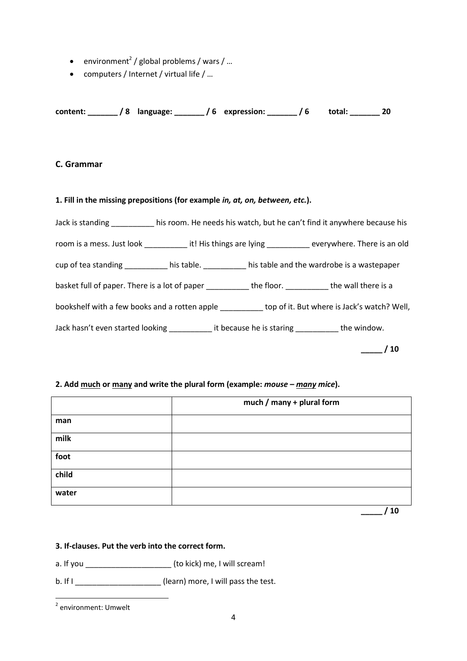- environment<sup>2</sup> / global problems / wars / ...
- computers / Internet / virtual life / …

**content: \_\_\_\_\_\_\_ / 8 language: \_\_\_\_\_\_\_ / 6 expression: \_\_\_\_\_\_\_ / 6 total: \_\_\_\_\_\_\_ 20**

### **C. Grammar**

#### **1. Fill in the missing prepositions (for example** *in, at, on, between, etc.***).**

| Jack is standing his room. He needs his watch, but he can't find it anywhere because his                      |  |  |    |
|---------------------------------------------------------------------------------------------------------------|--|--|----|
| room is a mess. Just look _________________it! His things are lying _____________ everywhere. There is an old |  |  |    |
| cup of tea standing _____________ his table. _____________ his table and the wardrobe is a wastepaper         |  |  |    |
| basket full of paper. There is a lot of paper ____________the floor. __________the wall there is a            |  |  |    |
| bookshelf with a few books and a rotten apple ____________ top of it. But where is Jack's watch? Well,        |  |  |    |
| Jack hasn't even started looking it because he is staring the window.                                         |  |  |    |
|                                                                                                               |  |  | 10 |

### **2. Add much or many and write the plural form (example:** *mouse – many mice***).**

|       | much / many + plural form |  |
|-------|---------------------------|--|
| man   |                           |  |
| milk  |                           |  |
| foot  |                           |  |
| child |                           |  |
| water |                           |  |
|       | 10                        |  |

#### **3. If-clauses. Put the verb into the correct form.**

- a. If you \_\_\_\_\_\_\_\_\_\_\_\_\_\_\_\_\_\_\_\_ (to kick) me, I will scream!
- b. If I \_\_\_\_\_\_\_\_\_\_\_\_\_\_\_\_\_\_\_\_\_\_\_\_\_\_(learn) more, I will pass the test.

 2 environment: Umwelt